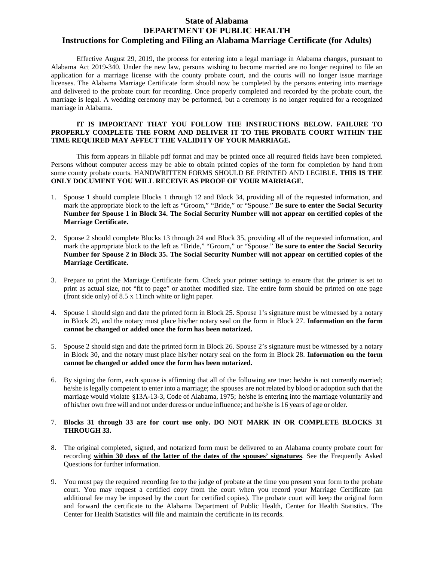## **State of Alabama DEPARTMENT OF PUBLIC HEALTH Instructions for Completing and Filing an Alabama Marriage Certificate (for Adults)**

Effective August 29, 2019, the process for entering into a legal marriage in Alabama changes, pursuant to Alabama Act 2019-340. Under the new law, persons wishing to become married are no longer required to file an application for a marriage license with the county probate court, and the courts will no longer issue marriage licenses. The Alabama Marriage Certificate form should now be completed by the persons entering into marriage and delivered to the probate court for recording. Once properly completed and recorded by the probate court, the marriage is legal. A wedding ceremony may be performed, but a ceremony is no longer required for a recognized marriage in Alabama.

#### **IT IS IMPORTANT THAT YOU FOLLOW THE INSTRUCTIONS BELOW. FAILURE TO PROPERLY COMPLETE THE FORM AND DELIVER IT TO THE PROBATE COURT WITHIN THE TIME REQUIRED MAY AFFECT THE VALIDITY OF YOUR MARRIAGE.**

This form appears in fillable pdf format and may be printed once all required fields have been completed. Persons without computer access may be able to obtain printed copies of the form for completion by hand from some county probate courts. HANDWRITTEN FORMS SHOULD BE PRINTED AND LEGIBLE. **THIS IS THE ONLY DOCUMENT YOU WILL RECEIVE AS PROOF OF YOUR MARRIAGE.**

- 1. Spouse 1 should complete Blocks 1 through 12 and Block 34, providing all of the requested information, and mark the appropriate block to the left as "Groom," "Bride," or "Spouse." **Be sure to enter the Social Security Number for Spouse 1 in Block 34. The Social Security Number will not appear on certified copies of the Marriage Certificate.**
- 2. Spouse 2 should complete Blocks 13 through 24 and Block 35, providing all of the requested information, and mark the appropriate block to the left as "Bride," "Groom," or "Spouse." **Be sure to enter the Social Security Number for Spouse 2 in Block 35. The Social Security Number will not appear on certified copies of the Marriage Certificate.**
- 3. Prepare to print the Marriage Certificate form. Check your printer settings to ensure that the printer is set to print as actual size, not "fit to page" or another modified size. The entire form should be printed on one page (front side only) of 8.5 x 11inch white or light paper.
- 4. Spouse 1 should sign and date the printed form in Block 25. Spouse 1's signature must be witnessed by a notary in Block 29, and the notary must place his/her notary seal on the form in Block 27. **Information on the form cannot be changed or added once the form has been notarized.**
- 5. Spouse 2 should sign and date the printed form in Block 26. Spouse 2's signature must be witnessed by a notary in Block 30, and the notary must place his/her notary seal on the form in Block 28. **Information on the form cannot be changed or added once the form has been notarized.**
- 6. By signing the form, each spouse is affirming that all of the following are true: he/she is not currently married; he/she is legally competent to enter into a marriage; the spouses are not related by blood or adoption such that the marriage would violate §13A-13-3, Code of Alabama, 1975; he/she is entering into the marriage voluntarily and of his/her own free will and not under duress or undue influence; and he/she is 16 years of age or older.

#### 7. **Blocks 31 through 33 are for court use only. DO NOT MARK IN OR COMPLETE BLOCKS 31 THROUGH 33.**

- 8. The original completed, signed, and notarized form must be delivered to an Alabama county probate court for recording **within 30 days of the latter of the dates of the spouses' signatures**. See the Frequently Asked Questions for further information.
- 9. You must pay the required recording fee to the judge of probate at the time you present your form to the probate court. You may request a certified copy from the court when you record your Marriage Certificate (an additional fee may be imposed by the court for certified copies). The probate court will keep the original form and forward the certificate to the Alabama Department of Public Health, Center for Health Statistics. The Center for Health Statistics will file and maintain the certificate in its records.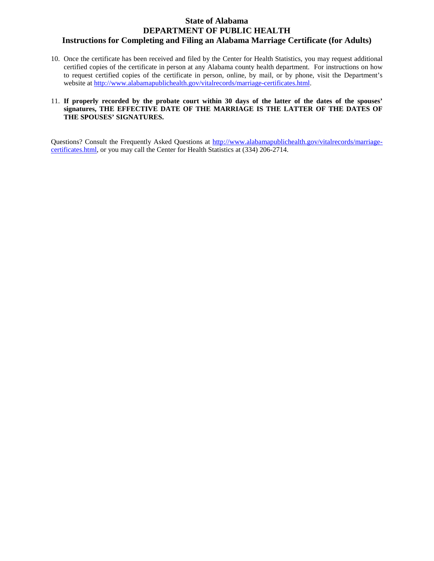## **State of Alabama DEPARTMENT OF PUBLIC HEALTH Instructions for Completing and Filing an Alabama Marriage Certificate (for Adults)**

10. Once the certificate has been received and filed by the Center for Health Statistics, you may request additional certified copies of the certificate in person at any Alabama county health department. For instructions on how to request certified copies of the certificate in person, online, by mail, or by phone, visit the Department's website at [http://www.alabamapublichealth.gov/vitalrecords/marriage-certificates.html.](http://www.alabamapublichealth.gov/vitalrecords/marriage-certificates.html)

### 11. **If properly recorded by the probate court within 30 days of the latter of the dates of the spouses' signatures, THE EFFECTIVE DATE OF THE MARRIAGE IS THE LATTER OF THE DATES OF THE SPOUSES' SIGNATURES.**

Questions? Consult the Frequently Asked Questions at [http://www.alabamapublichealth.gov/vitalrecords/marriage](http://www.alabamapublichealth.gov/vitalrecords/marriage-certificates.html)[certificates.html,](http://www.alabamapublichealth.gov/vitalrecords/marriage-certificates.html) or you may call the Center for Health Statistics at (334) 206-2714.